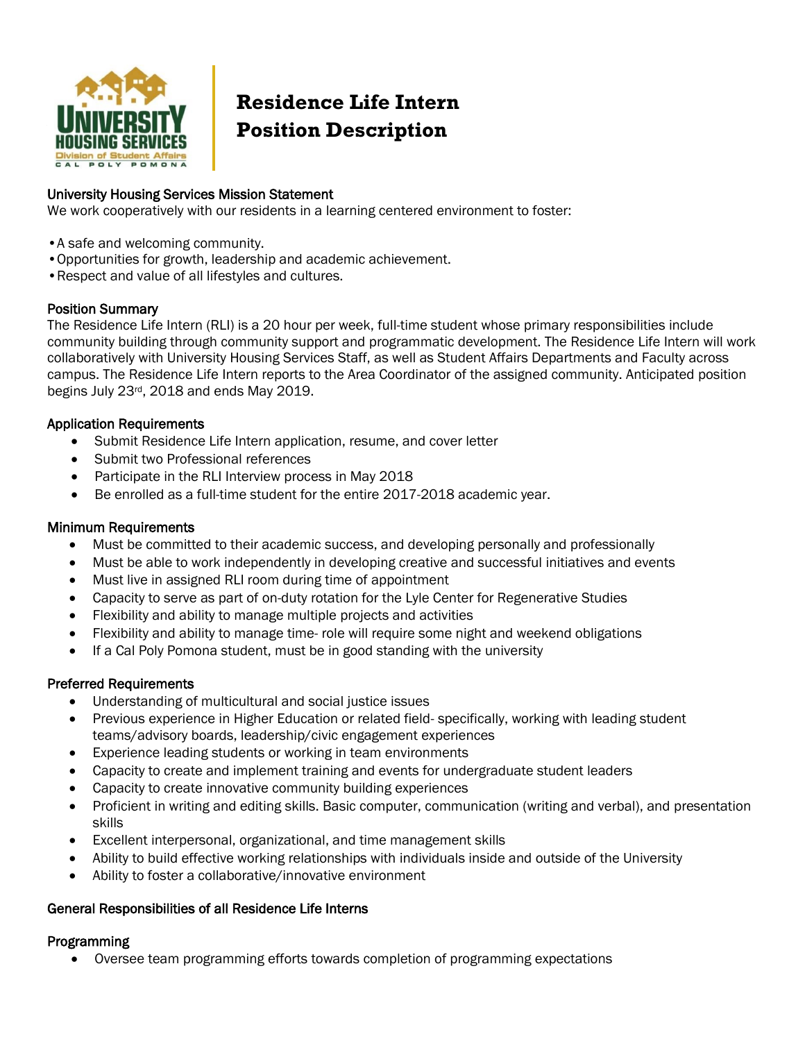

# **Residence Life Intern Position Description**

## University Housing Services Mission Statement

We work cooperatively with our residents in a learning centered environment to foster:

- •A safe and welcoming community.
- •Opportunities for growth, leadership and academic achievement.
- •Respect and value of all lifestyles and cultures.

## Position Summary

The Residence Life Intern (RLI) is a 20 hour per week, full-time student whose primary responsibilities include community building through community support and programmatic development. The Residence Life Intern will work collaboratively with University Housing Services Staff, as well as Student Affairs Departments and Faculty across campus. The Residence Life Intern reports to the Area Coordinator of the assigned community. Anticipated position begins July 23rd, 2018 and ends May 2019.

## Application Requirements

- Submit Residence Life Intern application, resume, and cover letter
- Submit two Professional references
- Participate in the RLI Interview process in May 2018
- Be enrolled as a full-time student for the entire 2017-2018 academic year.

## Minimum Requirements

- Must be committed to their academic success, and developing personally and professionally
- Must be able to work independently in developing creative and successful initiatives and events
- Must live in assigned RLI room during time of appointment
- Capacity to serve as part of on-duty rotation for the Lyle Center for Regenerative Studies
- Flexibility and ability to manage multiple projects and activities
- Flexibility and ability to manage time- role will require some night and weekend obligations
- If a Cal Poly Pomona student, must be in good standing with the university

# Preferred Requirements

- Understanding of multicultural and social justice issues
- Previous experience in Higher Education or related field- specifically, working with leading student teams/advisory boards, leadership/civic engagement experiences
- Experience leading students or working in team environments
- Capacity to create and implement training and events for undergraduate student leaders
- Capacity to create innovative community building experiences
- Proficient in writing and editing skills. Basic computer, communication (writing and verbal), and presentation skills
- Excellent interpersonal, organizational, and time management skills
- Ability to build effective working relationships with individuals inside and outside of the University
- Ability to foster a collaborative/innovative environment

## General Responsibilities of all Residence Life Interns

## Programming

Oversee team programming efforts towards completion of programming expectations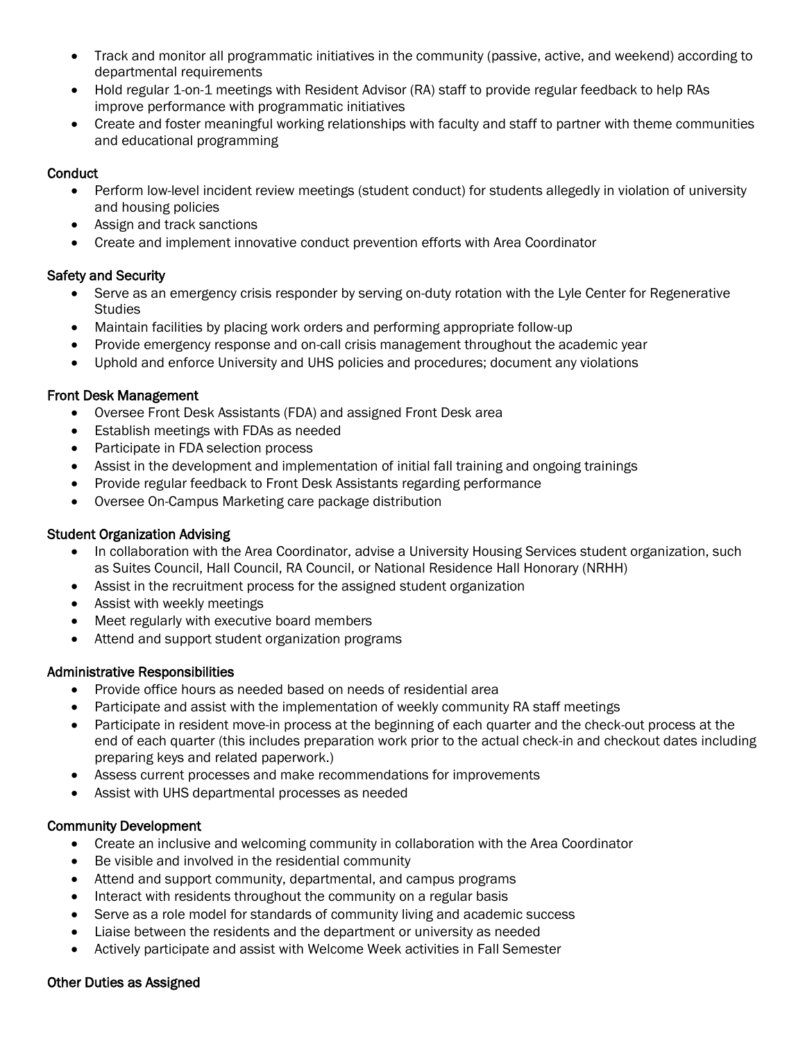- Track and monitor all programmatic initiatives in the community (passive, active, and weekend) according to departmental requirements
- Hold regular 1-on-1 meetings with Resident Advisor (RA) staff to provide regular feedback to help RAs improve performance with programmatic initiatives
- Create and foster meaningful working relationships with faculty and staff to partner with theme communities and educational programming

## **Conduct**

- Perform low-level incident review meetings (student conduct) for students allegedly in violation of university and housing policies
- Assign and track sanctions
- Create and implement innovative conduct prevention efforts with Area Coordinator

# Safety and Security

- Serve as an emergency crisis responder by serving on-duty rotation with the Lyle Center for Regenerative **Studies**
- Maintain facilities by placing work orders and performing appropriate follow-up
- Provide emergency response and on-call crisis management throughout the academic year
- Uphold and enforce University and UHS policies and procedures; document any violations

# Front Desk Management

- Oversee Front Desk Assistants (FDA) and assigned Front Desk area
- Establish meetings with FDAs as needed
- Participate in FDA selection process
- Assist in the development and implementation of initial fall training and ongoing trainings
- Provide regular feedback to Front Desk Assistants regarding performance
- Oversee On-Campus Marketing care package distribution

# Student Organization Advising

- In collaboration with the Area Coordinator, advise a University Housing Services student organization, such as Suites Council, Hall Council, RA Council, or National Residence Hall Honorary (NRHH)
- Assist in the recruitment process for the assigned student organization
- Assist with weekly meetings
- Meet regularly with executive board members
- Attend and support student organization programs

# Administrative Responsibilities

- Provide office hours as needed based on needs of residential area
- Participate and assist with the implementation of weekly community RA staff meetings
- Participate in resident move-in process at the beginning of each quarter and the check-out process at the end of each quarter (this includes preparation work prior to the actual check-in and checkout dates including preparing keys and related paperwork.)
- Assess current processes and make recommendations for improvements
- Assist with UHS departmental processes as needed

# Community Development

- Create an inclusive and welcoming community in collaboration with the Area Coordinator
- Be visible and involved in the residential community
- Attend and support community, departmental, and campus programs
- Interact with residents throughout the community on a regular basis
- Serve as a role model for standards of community living and academic success
- Liaise between the residents and the department or university as needed
- Actively participate and assist with Welcome Week activities in Fall Semester

## Other Duties as Assigned